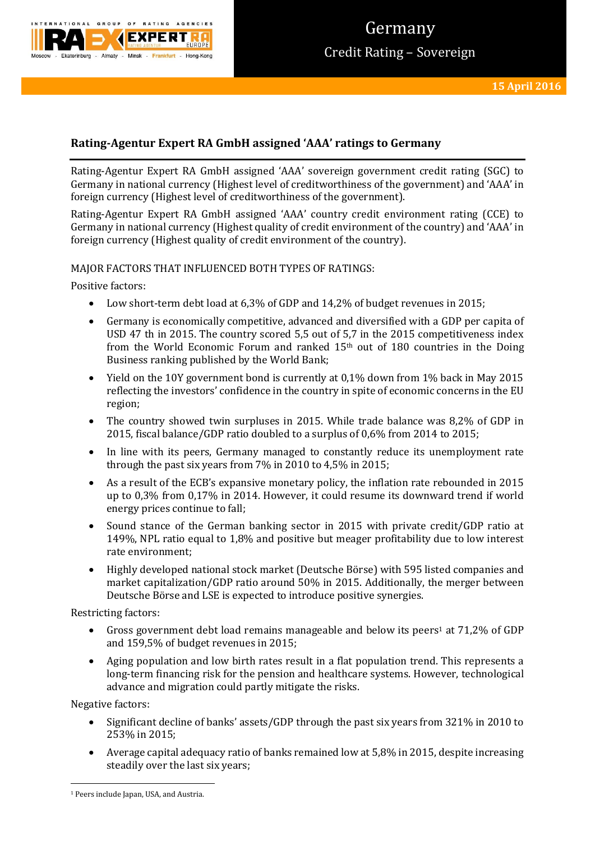

# Germany Credit Rating – Sovereign

# **Rating-Agentur Expert RA GmbH assigned 'AAA' ratings to Germany**

Rating-Agentur Expert RA GmbH assigned 'AAA' sovereign government credit rating (SGC) to Germany in national currency (Highest level of creditworthiness of the government) and 'AAA' in foreign currency (Highest level of creditworthiness of the government).

Rating-Agentur Expert RA GmbH assigned 'AAA' country credit environment rating (CCE) to Germany in national currency (Highest quality of credit environment of the country) and 'AAA' in foreign currency (Highest quality of credit environment of the country).

### MAJOR FACTORS THAT INFLUENCED BOTH TYPES OF RATINGS:

Positive factors:

- Low short-term debt load at 6,3% of GDP and 14,2% of budget revenues in 2015;
- Germany is economically competitive, advanced and diversified with a GDP per capita of USD 47 th in 2015. The country scored 5,5 out of 5,7 in the 2015 competitiveness index from the World Economic Forum and ranked 15th out of 180 countries in the Doing Business ranking published by the World Bank;
- Yield on the 10Y government bond is currently at 0,1% down from 1% back in May 2015 reflecting the investors' confidence in the country in spite of economic concerns in the EU region;
- The country showed twin surpluses in 2015. While trade balance was 8,2% of GDP in 2015, fiscal balance/GDP ratio doubled to a surplus of 0,6% from 2014 to 2015;
- In line with its peers, Germany managed to constantly reduce its unemployment rate through the past six years from 7% in 2010 to 4,5% in 2015;
- As a result of the ECB's expansive monetary policy, the inflation rate rebounded in 2015 up to 0,3% from 0,17% in 2014. However, it could resume its downward trend if world energy prices continue to fall;
- Sound stance of the German banking sector in 2015 with private credit/GDP ratio at 149%, NPL ratio equal to 1,8% and positive but meager profitability due to low interest rate environment;
- Highly developed national stock market (Deutsche Börse) with 595 listed companies and market capitalization/GDP ratio around 50% in 2015. Additionally, the merger between Deutsche Börse and LSE is expected to introduce positive synergies.

Restricting factors:

- Gross government debt load remains manageable and below its peers<sup>1</sup> at 71,2% of GDP and 159,5% of budget revenues in 2015;
- Aging population and low birth rates result in a flat population trend. This represents a long-term financing risk for the pension and healthcare systems. However, technological advance and migration could partly mitigate the risks.

Negative factors:

**.** 

- Significant decline of banks' assets/GDP through the past six years from 321% in 2010 to 253% in 2015;
- Average capital adequacy ratio of banks remained low at 5,8% in 2015, despite increasing steadily over the last six years;

<sup>&</sup>lt;sup>1</sup> Peers include Japan, USA, and Austria.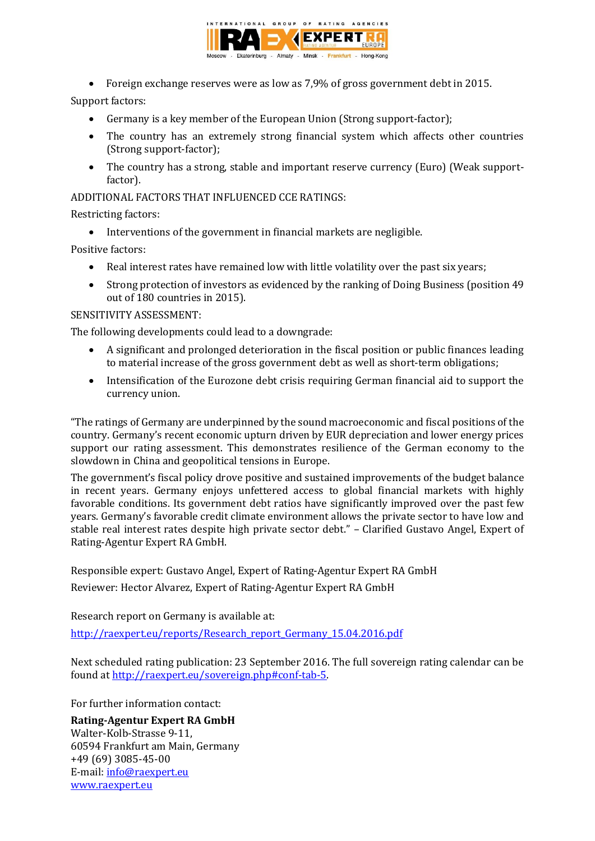

Foreign exchange reserves were as low as 7,9% of gross government debt in 2015.

## Support factors:

- Germany is a key member of the European Union (Strong support-factor);
- The country has an extremely strong financial system which affects other countries (Strong support-factor);
- The country has a strong, stable and important reserve currency (Euro) (Weak supportfactor).

ADDITIONAL FACTORS THAT INFLUENCED CCE RATINGS:

Restricting factors:

• Interventions of the government in financial markets are negligible.

Positive factors:

- Real interest rates have remained low with little volatility over the past six years;
- Strong protection of investors as evidenced by the ranking of Doing Business (position 49 out of 180 countries in 2015).

### SENSITIVITY ASSESSMENT:

The following developments could lead to a downgrade:

- A significant and prolonged deterioration in the fiscal position or public finances leading to material increase of the gross government debt as well as short-term obligations;
- Intensification of the Eurozone debt crisis requiring German financial aid to support the currency union.

"The ratings of Germany are underpinned by the sound macroeconomic and fiscal positions of the country. Germany's recent economic upturn driven by EUR depreciation and lower energy prices support our rating assessment. This demonstrates resilience of the German economy to the slowdown in China and geopolitical tensions in Europe.

The government's fiscal policy drove positive and sustained improvements of the budget balance in recent years. Germany enjoys unfettered access to global financial markets with highly favorable conditions. Its government debt ratios have significantly improved over the past few years. Germany's favorable credit climate environment allows the private sector to have low and stable real interest rates despite high private sector debt." – Clarified Gustavo Angel, Expert of Rating-Agentur Expert RA GmbH.

Responsible expert: Gustavo Angel, Expert of Rating-Agentur Expert RA GmbH Reviewer: Hector Alvarez, Expert of Rating-Agentur Expert RA GmbH

Research report on Germany is available at:

[http://raexpert.eu/reports/Research\\_report\\_Germany\\_15.04.2016.pdf](http://raexpert.eu/reports/Research_report_Germany_15.04.2016.pdf)

Next scheduled rating publication: 23 September 2016. The full sovereign rating calendar can be found at [http://raexpert.eu/sovereign.php#conf-tab-5.](http://raexpert.eu/sovereign.php#conf-tab-5)

For further information contact:

**Rating-Agentur Expert RA GmbH** Walter-Kolb-Strasse 9-11, 60594 Frankfurt am Main, Germany +49 (69) 3085-45-00 E-mail[: info@raexpert.eu](mailto:info@raexpert.eu) [www.raexpert.eu](http://raexpert.eu/)